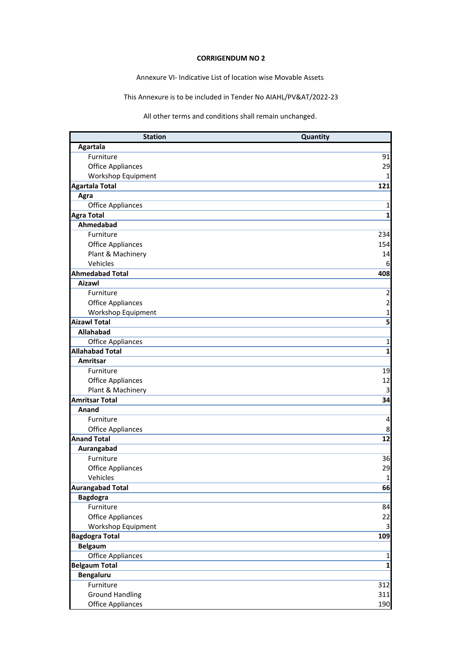## **CORRIGENDUM NO 2**

Annexure VI- Indicative List of location wise Movable Assets

This Annexure is to be included in Tender No AIAHL/PV&AT/2022-23

All other terms and conditions shall remain unchanged.

| <b>Station</b>           | Quantity       |
|--------------------------|----------------|
| Agartala                 |                |
| Furniture                | 91             |
| <b>Office Appliances</b> | 29             |
| Workshop Equipment       | 1              |
| <b>Agartala Total</b>    | 121            |
| Agra                     |                |
| <b>Office Appliances</b> | 1              |
| <b>Agra Total</b>        | 1              |
| Ahmedabad                |                |
| Furniture                | 234            |
| <b>Office Appliances</b> | 154            |
| Plant & Machinery        | 14             |
| Vehicles                 | 6              |
| <b>Ahmedabad Total</b>   | 408            |
| <b>Aizawl</b>            |                |
| Furniture                | $\overline{2}$ |
| <b>Office Appliances</b> | 2              |
| Workshop Equipment       | 1              |
| <b>Aizawl Total</b>      | 5              |
| Allahabad                |                |
| <b>Office Appliances</b> | 1              |
| <b>Allahabad Total</b>   | $\mathbf 1$    |
| Amritsar                 |                |
| Furniture                | 19             |
| <b>Office Appliances</b> | 12             |
| Plant & Machinery        | 3              |
| <b>Amritsar Total</b>    | 34             |
| Anand                    |                |
| Furniture                | 4              |
| <b>Office Appliances</b> | 8              |
| <b>Anand Total</b>       | 12             |
| Aurangabad               |                |
| Furniture                | 36             |
| <b>Office Appliances</b> | 29             |
| Vehicles                 | $\mathbf 1$    |
| <b>Aurangabad Total</b>  | 66             |
| <b>Bagdogra</b>          |                |
| Furniture                | 84             |
| <b>Office Appliances</b> | 22             |
| Workshop Equipment       | 3              |
| <b>Bagdogra Total</b>    | 109            |
| <b>Belgaum</b>           |                |
| <b>Office Appliances</b> | $\mathbf{1}$   |
| <b>Belgaum Total</b>     | $\mathbf{1}$   |
| Bengaluru                |                |
| Furniture                | 312            |
| <b>Ground Handling</b>   | 311            |
| <b>Office Appliances</b> | 190            |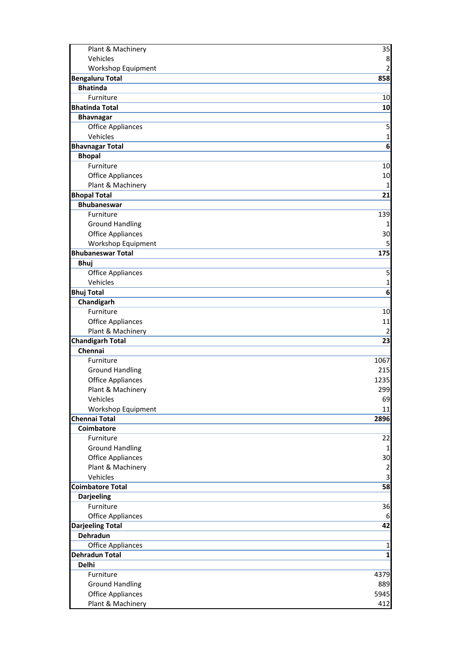| Plant & Machinery        | 35           |
|--------------------------|--------------|
| Vehicles                 | 8            |
| Workshop Equipment       | 2            |
| <b>Bengaluru Total</b>   | 858          |
| <b>Bhatinda</b>          |              |
| Furniture                | 10           |
| <b>Bhatinda Total</b>    | 10           |
| <b>Bhavnagar</b>         |              |
| <b>Office Appliances</b> | 5            |
| Vehicles                 | 1            |
| <b>Bhavnagar Total</b>   | 6            |
| <b>Bhopal</b>            |              |
| Furniture                | 10           |
| <b>Office Appliances</b> | 10           |
| Plant & Machinery        | 1            |
| <b>Bhopal Total</b>      | 21           |
| <b>Bhubaneswar</b>       |              |
| Furniture                | 139          |
| <b>Ground Handling</b>   | 1            |
| <b>Office Appliances</b> | 30           |
| Workshop Equipment       | 5            |
| <b>Bhubaneswar Total</b> | 175          |
| <b>Bhuj</b>              |              |
| <b>Office Appliances</b> | 5            |
| Vehicles                 | 1            |
| <b>Bhuj Total</b>        | 6            |
| Chandigarh               |              |
| Furniture                | 10           |
| <b>Office Appliances</b> | 11           |
| Plant & Machinery        | 2            |
| <b>Chandigarh Total</b>  | 23           |
| Chennai                  |              |
| Furniture                | 1067         |
| <b>Ground Handling</b>   | 215          |
| <b>Office Appliances</b> | 1235         |
| Plant & Machinery        | 299          |
| Vehicles                 | 69           |
| Workshop Equipment       | 11           |
| <b>Chennai Total</b>     | 2896         |
| Coimbatore               |              |
| Furniture                | 22           |
| <b>Ground Handling</b>   | $\mathbf{1}$ |
| <b>Office Appliances</b> | 30           |
| Plant & Machinery        | 2            |
| Vehicles                 | 3            |
| <b>Coimbatore Total</b>  | 58           |
| <b>Darjeeling</b>        |              |
| Furniture                | 36           |
| <b>Office Appliances</b> | 6            |
| <b>Darjeeling Total</b>  | 42           |
| <b>Dehradun</b>          |              |
| <b>Office Appliances</b> | $\mathbf{1}$ |
| <b>Dehradun Total</b>    | $\mathbf{1}$ |
| <b>Delhi</b>             |              |
| Furniture                | 4379         |
| <b>Ground Handling</b>   | 889          |
| <b>Office Appliances</b> | 5945         |
| Plant & Machinery        | 412          |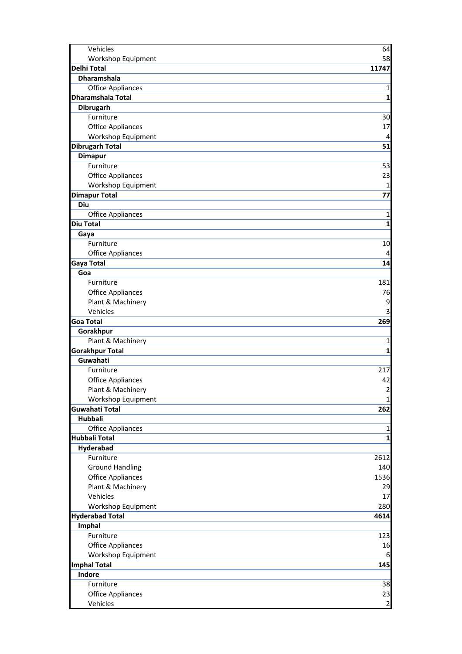| Vehicles                           | 64                |
|------------------------------------|-------------------|
| Workshop Equipment                 | 58                |
| <b>Delhi Total</b>                 | 11747             |
| <b>Dharamshala</b>                 |                   |
| <b>Office Appliances</b>           | 1                 |
| <b>Dharamshala Total</b>           | 1                 |
| Dibrugarh                          |                   |
| Furniture                          | 30                |
| <b>Office Appliances</b>           | 17                |
| Workshop Equipment                 | 4                 |
| <b>Dibrugarh Total</b>             | 51                |
| <b>Dimapur</b>                     |                   |
| Furniture                          | 53                |
| <b>Office Appliances</b>           | 23                |
| Workshop Equipment                 | 1                 |
| <b>Dimapur Total</b>               | 77                |
| Diu                                |                   |
| <b>Office Appliances</b>           | 1                 |
| <b>Diu Total</b>                   | 1                 |
| Gaya                               |                   |
| Furniture                          | 10                |
| <b>Office Appliances</b>           | 4                 |
| <b>Gaya Total</b>                  | 14                |
| Goa                                |                   |
| Furniture                          | 181               |
| <b>Office Appliances</b>           | 76                |
| Plant & Machinery                  | 9                 |
| Vehicles                           | 3                 |
| <b>Goa Total</b>                   | 269               |
| Gorakhpur                          |                   |
| Plant & Machinery                  | 1<br>$\mathbf{1}$ |
| <b>Gorakhpur Total</b><br>Guwahati |                   |
| Furniture                          | 217               |
| <b>Office Appliances</b>           | 42                |
| Plant & Machinery                  | $\overline{2}$    |
| Workshop Equipment                 | $\mathbf{1}$      |
| Guwahati Total                     | 262               |
| Hubbali                            |                   |
| <b>Office Appliances</b>           | 1                 |
| <b>Hubbali Total</b>               | $\mathbf{1}$      |
| Hyderabad                          |                   |
| Furniture                          | 2612              |
| <b>Ground Handling</b>             | 140               |
| <b>Office Appliances</b>           | 1536              |
| Plant & Machinery                  | 29                |
| Vehicles                           | 17                |
| Workshop Equipment                 | 280               |
| <b>Hyderabad Total</b>             | 4614              |
| Imphal                             |                   |
| Furniture                          | 123               |
| <b>Office Appliances</b>           | 16                |
| Workshop Equipment                 | 6                 |
| <b>Imphal Total</b>                | 145               |
| Indore                             |                   |
| Furniture                          | 38                |
| <b>Office Appliances</b>           | 23                |
| Vehicles                           | $\mathbf{2}$      |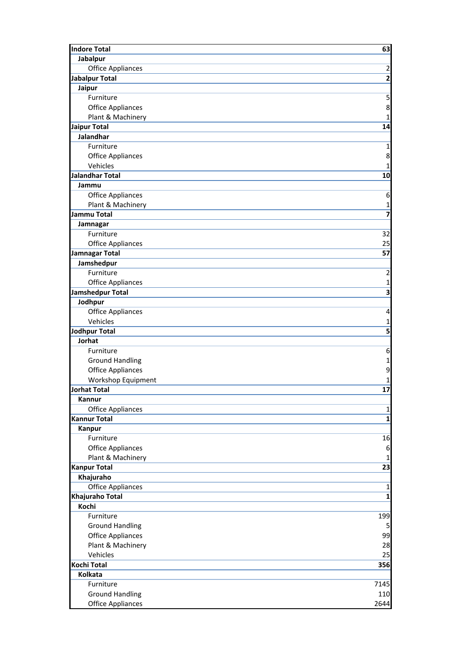| <b>Indore Total</b>      | 63                           |
|--------------------------|------------------------------|
| Jabalpur                 |                              |
| <b>Office Appliances</b> | $\overline{\mathbf{c}}$      |
| <b>Jabalpur Total</b>    | $\overline{2}$               |
| Jaipur                   |                              |
| Furniture                | 5                            |
| <b>Office Appliances</b> | 8                            |
| Plant & Machinery        | 1                            |
| <b>Jaipur Total</b>      | 14                           |
| Jalandhar                |                              |
| Furniture                | $\mathbf 1$                  |
|                          |                              |
| <b>Office Appliances</b> | 8                            |
| Vehicles                 | 1                            |
| <b>Jalandhar Total</b>   | 10                           |
| Jammu                    |                              |
| <b>Office Appliances</b> | 6                            |
| Plant & Machinery        | 1                            |
| <b>Jammu Total</b>       | $\overline{\mathbf{z}}$      |
| Jamnagar                 |                              |
| Furniture                | 32                           |
| <b>Office Appliances</b> | 25                           |
| <b>Jamnagar Total</b>    | 57                           |
| Jamshedpur               |                              |
| Furniture                | $\overline{2}$               |
| <b>Office Appliances</b> | 1                            |
| Jamshedpur Total         | $\overline{\mathbf{3}}$      |
| Jodhpur                  |                              |
| Office Appliances        | 4                            |
| Vehicles                 |                              |
|                          | 1<br>$\overline{\mathbf{5}}$ |
| <b>Jodhpur Total</b>     |                              |
| Jorhat<br>Furniture      |                              |
|                          | 6                            |
| <b>Ground Handling</b>   | 1                            |
| <b>Office Appliances</b> | 9                            |
| Workshop Equipment       | 1                            |
| <b>Jorhat Total</b>      | 17                           |
| Kannur                   |                              |
| <b>Office Appliances</b> | 1                            |
| <b>Kannur Total</b>      | $\mathbf{1}$                 |
| Kanpur                   |                              |
| Furniture                | 16                           |
| <b>Office Appliances</b> | 6                            |
| Plant & Machinery        | 1                            |
| <b>Kanpur Total</b>      | 23                           |
| Khajuraho                |                              |
| <b>Office Appliances</b> | $\mathbf 1$                  |
| Khajuraho Total          | $\overline{\mathbf{1}}$      |
| Kochi                    |                              |
| Furniture                | 199                          |
| <b>Ground Handling</b>   | 5                            |
| <b>Office Appliances</b> | 99                           |
| Plant & Machinery        | 28                           |
| Vehicles                 | 25                           |
| <b>Kochi Total</b>       |                              |
|                          | 356                          |
| Kolkata                  |                              |
| Furniture                | 7145                         |
| <b>Ground Handling</b>   | 110                          |
| <b>Office Appliances</b> | 2644                         |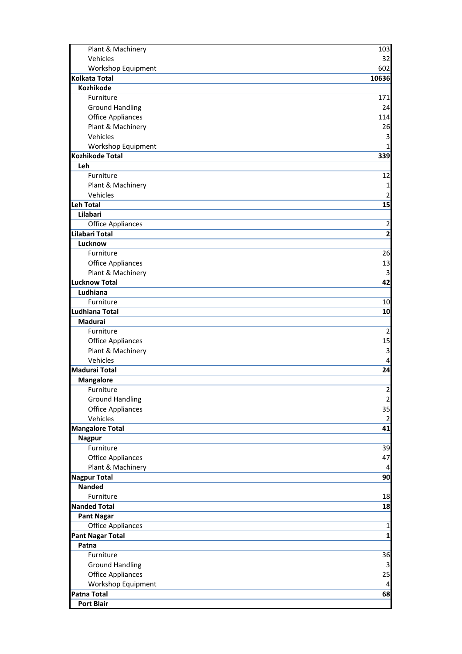| Plant & Machinery                        | 103                     |
|------------------------------------------|-------------------------|
| Vehicles                                 | 32                      |
| Workshop Equipment                       | 602                     |
| <b>Kolkata Total</b>                     | 10636                   |
| <b>Kozhikode</b>                         |                         |
| Furniture                                | 171                     |
| <b>Ground Handling</b>                   | 24                      |
| <b>Office Appliances</b>                 | 114                     |
| Plant & Machinery                        | 26                      |
| Vehicles                                 | 3                       |
| Workshop Equipment                       | 1                       |
| <b>Kozhikode Total</b>                   | 339                     |
| Leh                                      |                         |
| Furniture                                | 12                      |
| Plant & Machinery                        | 1                       |
| Vehicles                                 | 2                       |
| <b>Leh Total</b>                         | 15                      |
| Lilabari                                 |                         |
| <b>Office Appliances</b>                 | $\overline{\mathbf{c}}$ |
| Lilabari Total                           | $\overline{2}$          |
| Lucknow                                  |                         |
| Furniture                                | 26                      |
| <b>Office Appliances</b>                 | 13                      |
| Plant & Machinery                        | 3                       |
| <b>Lucknow Total</b>                     | 42                      |
| Ludhiana                                 |                         |
| Furniture                                | 10                      |
| Ludhiana Total                           | 10                      |
| Madurai                                  |                         |
| Furniture                                | $\overline{2}$          |
| <b>Office Appliances</b>                 | 15                      |
| Plant & Machinery                        | 3                       |
| Vehicles                                 | 4                       |
| <b>Madurai Total</b>                     | 24                      |
| <b>Mangalore</b>                         |                         |
| Furniture                                | $\overline{c}$          |
| <b>Ground Handling</b>                   | $\overline{2}$          |
| <b>Office Appliances</b>                 | 35                      |
| Vehicles                                 | $\overline{2}$          |
| <b>Mangalore Total</b>                   | 41                      |
| <b>Nagpur</b>                            |                         |
| Furniture                                | 39                      |
| <b>Office Appliances</b>                 | 47                      |
| Plant & Machinery<br><b>Nagpur Total</b> | 4<br>90                 |
| <b>Nanded</b>                            |                         |
| Furniture                                | 18                      |
| <b>Nanded Total</b>                      | 18                      |
| <b>Pant Nagar</b>                        |                         |
| <b>Office Appliances</b>                 | $\mathbf 1$             |
| <b>Pant Nagar Total</b>                  | $\mathbf{1}$            |
| Patna                                    |                         |
| Furniture                                | 36                      |
| <b>Ground Handling</b>                   | 3                       |
| <b>Office Appliances</b>                 | 25                      |
| Workshop Equipment                       | 4                       |
| <b>Patna Total</b>                       | 68                      |
| <b>Port Blair</b>                        |                         |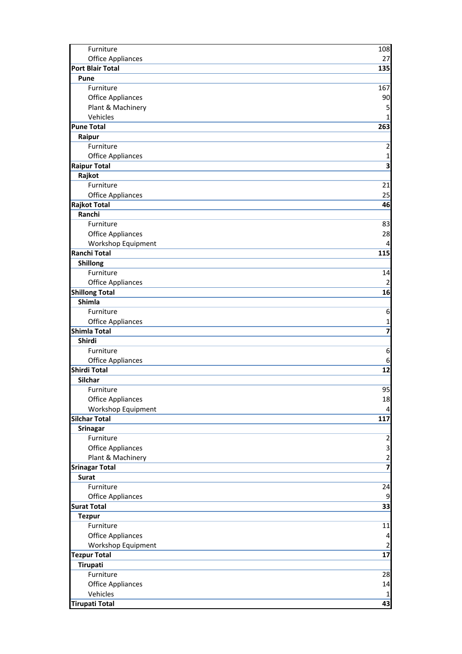| Furniture                | 108                     |
|--------------------------|-------------------------|
| <b>Office Appliances</b> | 27                      |
| <b>Port Blair Total</b>  | 135                     |
| Pune                     |                         |
| Furniture                | 167                     |
| <b>Office Appliances</b> | 90                      |
| Plant & Machinery        | 5                       |
| Vehicles                 | 1                       |
| <b>Pune Total</b>        | 263                     |
| Raipur                   |                         |
| Furniture                | $\overline{\mathbf{c}}$ |
| <b>Office Appliances</b> | 1                       |
| <b>Raipur Total</b>      | $\overline{\mathbf{3}}$ |
| Rajkot                   |                         |
| Furniture                | 21                      |
| <b>Office Appliances</b> | 25                      |
| <b>Rajkot Total</b>      | 46                      |
| Ranchi                   |                         |
| Furniture                | 83                      |
| <b>Office Appliances</b> | 28                      |
| Workshop Equipment       | 4                       |
| <b>Ranchi Total</b>      | 115                     |
| Shillong                 |                         |
| Furniture                | 14                      |
| <b>Office Appliances</b> | 2                       |
| <b>Shillong Total</b>    | 16                      |
| Shimla                   |                         |
| Furniture                | 6                       |
| <b>Office Appliances</b> | 1                       |
| <b>Shimla Total</b>      | $\overline{\mathbf{z}}$ |
| Shirdi                   |                         |
| Furniture                | 6                       |
| <b>Office Appliances</b> | 6                       |
| <b>Shirdi Total</b>      | 12                      |
| Silchar                  |                         |
| Furniture                | 95                      |
| <b>Office Appliances</b> | 18                      |
| Workshop Equipment       | $\overline{a}$          |
| <b>Silchar Total</b>     | 117                     |
| <b>Srinagar</b>          |                         |
| Furniture                | $\overline{\mathbf{c}}$ |
| <b>Office Appliances</b> | 3                       |
| Plant & Machinery        | $\overline{\mathbf{c}}$ |
| <b>Srinagar Total</b>    |                         |
| <b>Surat</b>             |                         |
| Furniture                | 24                      |
| <b>Office Appliances</b> | 9                       |
| <b>Surat Total</b>       | 33                      |
| <b>Tezpur</b>            |                         |
| Furniture                | 11                      |
| <b>Office Appliances</b> | 4                       |
| Workshop Equipment       | $\overline{2}$          |
| <b>Tezpur Total</b>      | 17                      |
| Tirupati                 |                         |
| Furniture                | 28                      |
| <b>Office Appliances</b> | 14                      |
| Vehicles                 | 1                       |
| <b>Tirupati Total</b>    | 43                      |